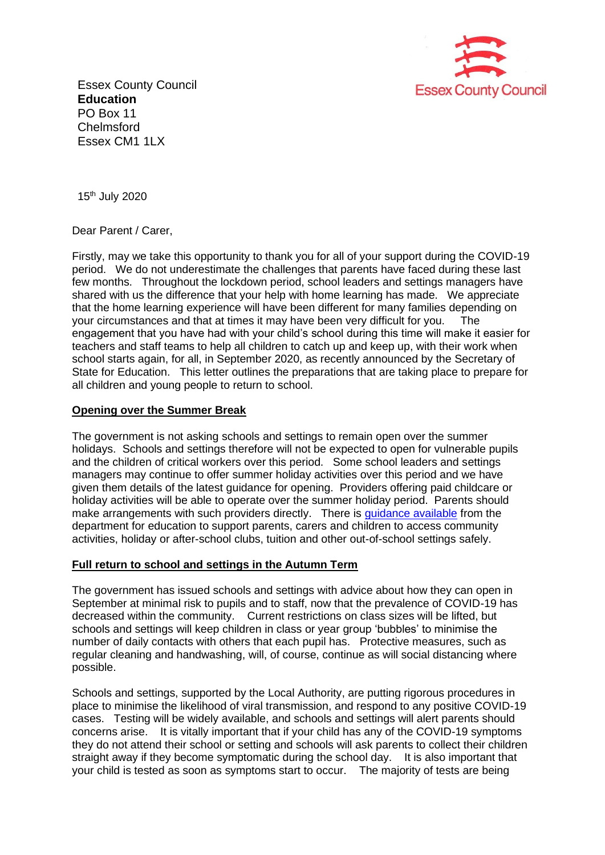

Essex County Council **Education**  PO Box 11 **Chelmsford** Essex CM1 1LX

15th July 2020

Dear Parent / Carer,

Firstly, may we take this opportunity to thank you for all of your support during the COVID-19 period. We do not underestimate the challenges that parents have faced during these last few months. Throughout the lockdown period, school leaders and settings managers have shared with us the difference that your help with home learning has made. We appreciate that the home learning experience will have been different for many families depending on your circumstances and that at times it may have been very difficult for you. The engagement that you have had with your child's school during this time will make it easier for teachers and staff teams to help all children to catch up and keep up, with their work when school starts again, for all, in September 2020, as recently announced by the Secretary of State for Education. This letter outlines the preparations that are taking place to prepare for all children and young people to return to school.

## **Opening over the Summer Break**

The government is not asking schools and settings to remain open over the summer holidays. Schools and settings therefore will not be expected to open for vulnerable pupils and the children of critical workers over this period. Some school leaders and settings managers may continue to offer summer holiday activities over this period and we have given them details of the latest guidance for opening. Providers offering paid childcare or holiday activities will be able to operate over the summer holiday period. Parents should make arrangements with such providers directly. There is [guidance available](https://www.gov.uk/government/collections/guidance-for-schools-coronavirus-covid-19) from the department for education to support parents, carers and children to access community activities, holiday or after-school clubs, tuition and other out-of-school settings safely.

## **Full return to school and settings in the Autumn Term**

The government has issued schools and settings with advice about how they can open in September at minimal risk to pupils and to staff, now that the prevalence of COVID-19 has decreased within the community. Current restrictions on class sizes will be lifted, but schools and settings will keep children in class or year group 'bubbles' to minimise the number of daily contacts with others that each pupil has. Protective measures, such as regular cleaning and handwashing, will, of course, continue as will social distancing where possible.

Schools and settings, supported by the Local Authority, are putting rigorous procedures in place to minimise the likelihood of viral transmission, and respond to any positive COVID-19 cases. Testing will be widely available, and schools and settings will alert parents should concerns arise. It is vitally important that if your child has any of the COVID-19 symptoms they do not attend their school or setting and schools will ask parents to collect their children straight away if they become symptomatic during the school day. It is also important that your child is tested as soon as symptoms start to occur. The majority of tests are being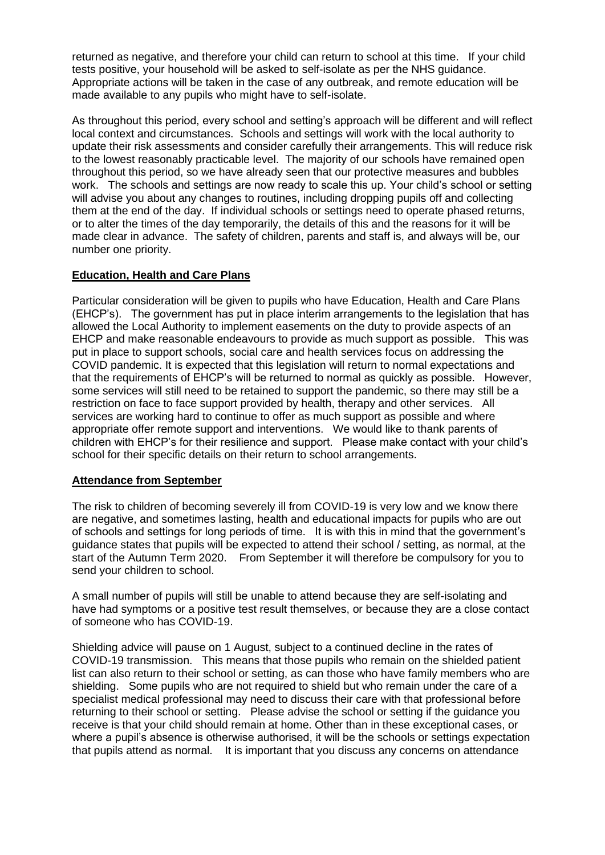returned as negative, and therefore your child can return to school at this time. If your child tests positive, your household will be asked to self-isolate as per the NHS guidance. Appropriate actions will be taken in the case of any outbreak, and remote education will be made available to any pupils who might have to self-isolate.

As throughout this period, every school and setting's approach will be different and will reflect local context and circumstances. Schools and settings will work with the local authority to update their risk assessments and consider carefully their arrangements. This will reduce risk to the lowest reasonably practicable level. The majority of our schools have remained open throughout this period, so we have already seen that our protective measures and bubbles work. The schools and settings are now ready to scale this up. Your child's school or setting will advise you about any changes to routines, including dropping pupils off and collecting them at the end of the day. If individual schools or settings need to operate phased returns, or to alter the times of the day temporarily, the details of this and the reasons for it will be made clear in advance. The safety of children, parents and staff is, and always will be, our number one priority.

# **Education, Health and Care Plans**

Particular consideration will be given to pupils who have Education, Health and Care Plans (EHCP's). The government has put in place interim arrangements to the legislation that has allowed the Local Authority to implement easements on the duty to provide aspects of an EHCP and make reasonable endeavours to provide as much support as possible. This was put in place to support schools, social care and health services focus on addressing the COVID pandemic. It is expected that this legislation will return to normal expectations and that the requirements of EHCP's will be returned to normal as quickly as possible. However, some services will still need to be retained to support the pandemic, so there may still be a restriction on face to face support provided by health, therapy and other services. All services are working hard to continue to offer as much support as possible and where appropriate offer remote support and interventions. We would like to thank parents of children with EHCP's for their resilience and support. Please make contact with your child's school for their specific details on their return to school arrangements.

## **Attendance from September**

The risk to children of becoming severely ill from COVID-19 is very low and we know there are negative, and sometimes lasting, health and educational impacts for pupils who are out of schools and settings for long periods of time. It is with this in mind that the government's guidance states that pupils will be expected to attend their school / setting, as normal, at the start of the Autumn Term 2020. From September it will therefore be compulsory for you to send your children to school.

A small number of pupils will still be unable to attend because they are self-isolating and have had symptoms or a positive test result themselves, or because they are a close contact of someone who has COVID-19.

Shielding advice will pause on 1 August, subject to a continued decline in the rates of COVID-19 transmission. This means that those pupils who remain on the shielded patient list can also return to their school or setting, as can those who have family members who are shielding. Some pupils who are not required to shield but who remain under the care of a specialist medical professional may need to discuss their care with that professional before returning to their school or setting. Please advise the school or setting if the guidance you receive is that your child should remain at home. Other than in these exceptional cases, or where a pupil's absence is otherwise authorised, it will be the schools or settings expectation that pupils attend as normal. It is important that you discuss any concerns on attendance